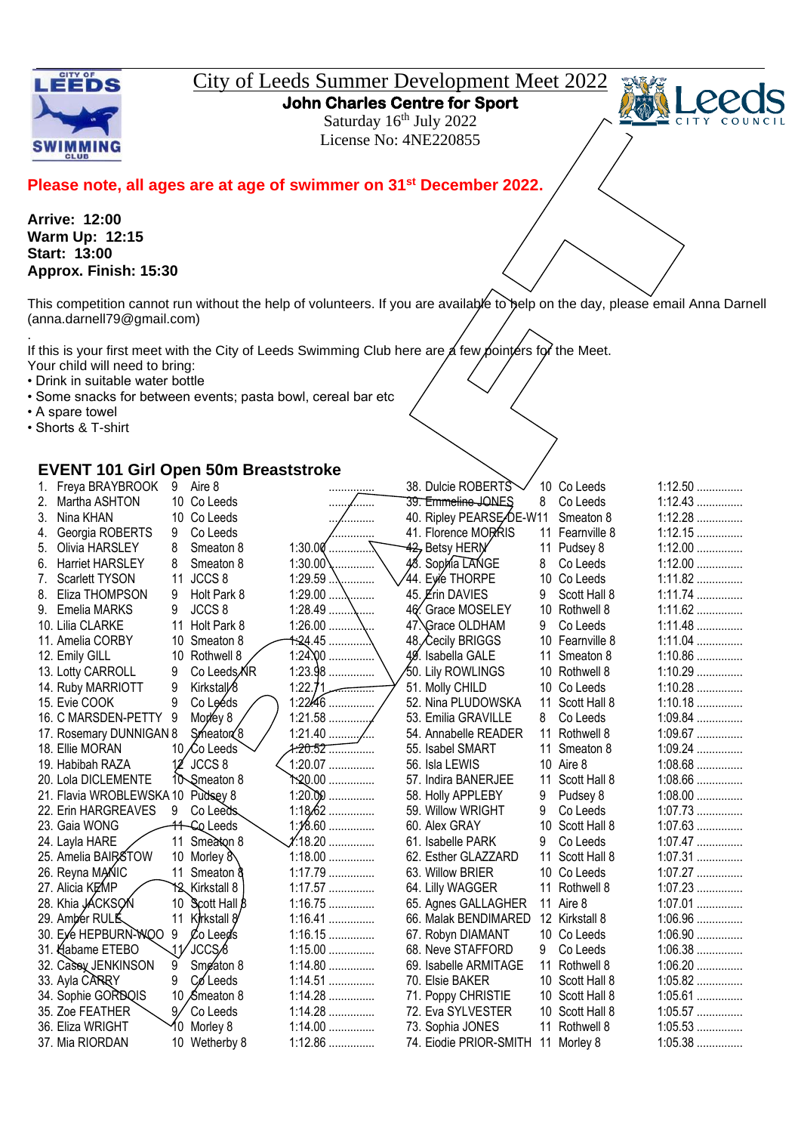

## City of Leeds Summer Development Meet 2022

**John Charles Centre for Sport** 

Saturday 16<sup>th</sup> July 2022 License No: 4NE220855



## **Please note, all ages are at age of swimmer on 31st December 2022.**

**Arrive: 12:00 Warm Up: 12:15 Start: 13:00 Approx. Finish: 15:30**

This competition cannot run without the help of volunteers. If you are available to belp on the day, please email Anna Darnell (anna.darnell79@gmail.com)

. If this is your first meet with the City of Leeds Swimming Club here are  $\cancel{\alpha}$  few pointers for the Meet. Your child will need to bring:

- Drink in suitable water bottle
- Some snacks for between events; pasta bowl, cereal bar etc
- A spare towel
- Shorts & T-shirt

## **EVENT 101 Girl Open 50m Breaststroke**

|    | Freya BRAYBROOK                   | 9  | Aire 8                        |                   | .                   | 38. Dulcie ROBERTS                 |    | 10 Co Leeds     | $1:12.50$ |  |
|----|-----------------------------------|----|-------------------------------|-------------------|---------------------|------------------------------------|----|-----------------|-----------|--|
| 2. | Martha ASHTON                     |    | 10 Co Leeds                   |                   | .<br>.              | 39. Emmeline JONES                 | 8  | Co Leeds        | $1:12.43$ |  |
|    | 3. Nina KHAN                      |    | 10 Co Leeds                   |                   | .                   | 40. Ripley PEARSE DE-W11           |    | Smeaton 8       | $1:12.28$ |  |
|    | 4. Georgia ROBERTS                | 9  | Co Leeds                      |                   | .                   | 41. Florence MORRIS                | 11 | Fearnville 8    | $1:12.15$ |  |
| 5. | Olivia HARSLEY                    | 8  | Smeaton 8                     |                   |                     | 42, Betsy HERM                     | 11 | Pudsey 8        | $1:12.00$ |  |
| 6. | <b>Harriet HARSLEY</b>            | 8  | Smeaton 8                     | 1:30.00 $\lambda$ |                     | 48. Sophia LANGE                   | 8  | Co Leeds        | $1:12.00$ |  |
| 7. | Scarlett TYSON                    | 11 | JCCS 8                        | 1:29.59           |                     | 44. Eyie THORPE                    |    | 10 Co Leeds     | $1:11.82$ |  |
|    | 8. Eliza THOMPSON                 | 9  | Holt Park 8                   |                   |                     | 45. <i>Erin DAVIES</i>             | 9  | Scott Hall 8    | $1:11.74$ |  |
|    | 9. Emelia MARKS                   | 9  | JCCS <sub>8</sub>             |                   | $1:28.49$           | 46. Grace MOSELEY                  |    | 10 Rothwell 8   | $1:11.62$ |  |
|    | 10. Lilia CLARKE                  |    | 11 Holt Park 8                |                   |                     | 47. Grace OLDHAM                   | 9  | Co Leeds        | $1:11.48$ |  |
|    | 11. Amelia CORBY                  |    | 10 Smeaton 8                  |                   | <del>1:2</del> 4.45 | 48, Cecily BRIGGS                  |    | 10 Fearnville 8 | $1:11.04$ |  |
|    | 12. Emily GILL                    |    | 10 Rothwell 8                 |                   | $1:24.00$           | 49. Isabella GALE                  | 11 | Smeaton 8       | $1:10.86$ |  |
|    | 13. Lotty CARROLL                 | 9  | Co Leeds <b>AR</b>            |                   | $1:23.98$           | 50. Lily ROWLINGS                  |    | 10 Rothwell 8   | $1:10.29$ |  |
|    | 14. Ruby MARRIOTT                 | 9  | Kirkstal <sub>/8</sub>        |                   | 1:22.71             | 51. Molly CHILD                    |    | 10 Co Leeds     | $1:10.28$ |  |
|    | 15. Evie COOK                     | 9  | Co Leéds                      |                   | $1:2246$            | 52. Nina PLUDOWSKA                 | 11 | Scott Hall 8    | $1:10.18$ |  |
|    | 16. C MARSDEN-PETTY 9             |    | Morey 8                       |                   |                     | 53. Emilia GRAVILLE                | 8  | Co Leeds        | $1:09.84$ |  |
|    | 17. Rosemary DUNNIGAN 8           |    | Smeaton <sup>2</sup>          |                   | $1:21.40$ /         | 54. Annabelle READER               | 11 | Rothwell 8      | 1:09.67   |  |
|    | 18. Ellie MORAN                   |    | 10 ∕Co Leeds                  |                   |                     | 55. Isabel SMART                   | 11 | Smeaton 8       | $1:09.24$ |  |
|    | 19. Habibah RAZA                  |    | $12$ JCCS 8                   |                   | $1:20.07$           | 56. Isla LEWIS                     |    | 10 Aire 8       | $1:08.68$ |  |
|    | 20. Lola DICLEMENTE               |    | 10 Smeaton 8                  |                   | <u> ት.20.00 </u>    | 57. Indira BANERJEE                | 11 | Scott Hall 8    | $1:08.66$ |  |
|    | 21. Flavia WROBLEWSKA 10 Pudsey 8 |    |                               |                   | $1:20.00$           | 58. Holly APPLEBY                  | 9  | Pudsey 8        | $1:08.00$ |  |
|    | 22. Erin HARGREAVES               | 9  | Co Leeds                      |                   | $1:18.62$           | 59. Willow WRIGHT                  | 9  | Co Leeds        | $1:07.73$ |  |
|    | 23. Gaia WONG                     |    | 11 - Cq Leeds                 |                   | $1:18.60$           | 60. Alex GRAY                      |    | 10 Scott Hall 8 | $1:07.63$ |  |
|    | 24. Layla HARE                    |    | 11 Smeaton 8                  |                   | <i>1</i> .18.20     | 61. Isabelle PARK                  | 9  | Co Leeds        | $1:07.47$ |  |
|    | 25. Amelia BAIRSTOW               |    | 10 Morley &                   |                   | $1:18.00$           | 62. Esther GLAZZARD                | 11 | Scott Hall 8    | $1:07.31$ |  |
|    | 26. Reyna MANIC                   |    | 11 Smeaton &                  |                   | 1:17.79             | 63. Willow BRIER                   |    | 10 Co Leeds     | $1:07.27$ |  |
|    | 27. Alicia KEMP                   |    | Y <sub>2</sub> Kirkstall 8    |                   | $1:17.57$           | 64. Lilly WAGGER                   |    | 11 Rothwell 8   | $1:07.23$ |  |
|    | 28. Khia JACKSON                  |    | 10 $\text{Scott Hall } \beta$ |                   | $1:16.75$           | 65. Agnes GALLAGHER                |    | 11 Aire 8       | $1:07.01$ |  |
|    | 29. Amber RULE                    |    | 11 Kirkstall 8                |                   | $1:16.41$           | 66. Malak BENDIMARED               |    | 12 Kirkstall 8  | $1:06.96$ |  |
|    | 30. Eye HEPBURN-WOO               | 9  | Co Leed's                     |                   | $1:16.15$           | 67. Robyn DIAMANT                  |    | 10 Co Leeds     | $1:06.90$ |  |
|    | 31. Habame ETEBO                  | 11 | ′JCCS∕8                       |                   | $1:15.00$           | 68. Neve STAFFORD                  | 9  | Co Leeds        | $1:06.38$ |  |
|    | 32. Casey JENKINSON               | 9  | Smeaton 8                     |                   | $1:14.80$           | 69. Isabelle ARMITAGE              |    | 11 Rothwell 8   | $1:06.20$ |  |
|    | 33. Ayla CARRY                    | 9  | Co Leeds                      |                   | $1:14.51$           | 70. Elsie BAKER                    |    | 10 Scott Hall 8 | $1:05.82$ |  |
|    | 34. Sophie GORDQIS                |    | 10 Smeaton 8                  |                   | $1:14.28$           | 71. Poppy CHRISTIE                 |    | 10 Scott Hall 8 | $1:05.61$ |  |
|    | 35. Zoe FEATHER                   | 9/ | Co Leeds                      |                   | $1:14.28$           | 72. Eva SYLVESTER                  |    | 10 Scott Hall 8 | $1:05.57$ |  |
|    | 36. Eliza WRIGHT                  |    | Morley 8                      |                   | $1:14.00$           | 73. Sophia JONES                   |    | 11 Rothwell 8   | $1:05.53$ |  |
|    | 37. Mia RIORDAN                   |    | 10 Wetherby 8                 |                   | 1:12.86             | 74. Eiodie PRIOR-SMITH 11 Morley 8 |    |                 | $1:05.38$ |  |
|    |                                   |    |                               |                   |                     |                                    |    |                 |           |  |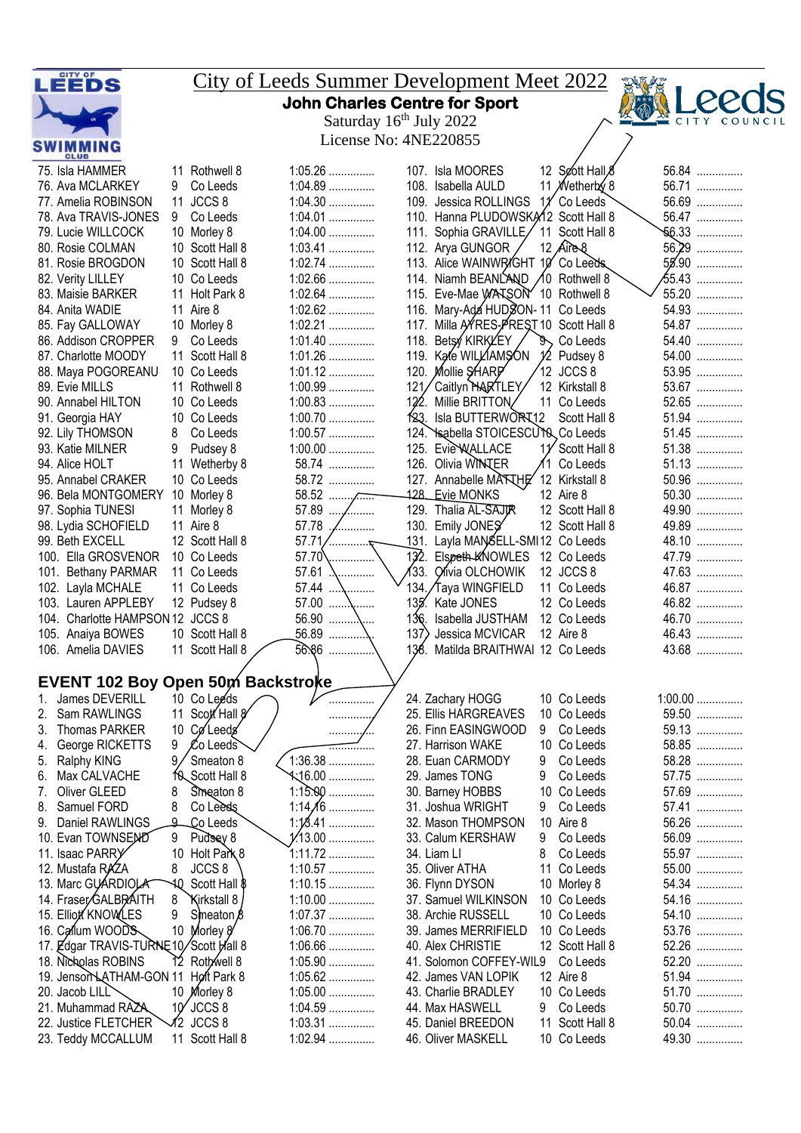| LEEDS                                       |                 |                                    |  |                        |                                     |                  | <u>City of Leeds Summer Development Meet 2022</u>            |     |                             |  |                   |
|---------------------------------------------|-----------------|------------------------------------|--|------------------------|-------------------------------------|------------------|--------------------------------------------------------------|-----|-----------------------------|--|-------------------|
|                                             |                 |                                    |  |                        | Saturday 16 <sup>th</sup> July 2022 |                  | <b>John Charles Centre for Sport</b>                         |     |                             |  | COUN              |
|                                             |                 |                                    |  |                        | License No: 4NE220855               |                  |                                                              |     |                             |  |                   |
| SWIMMING<br><b>CLUB</b>                     |                 |                                    |  |                        |                                     |                  |                                                              |     |                             |  |                   |
| 75. Isla HAMMER                             |                 | 11 Rothwell 8                      |  | $1:05.26$              |                                     |                  | 107. Isla MOORES                                             |     | 12 Soott Hall &             |  | 56.84             |
| 76. Ava MCLARKEY                            | 9               | Co Leeds                           |  | $1:04.89$              |                                     |                  | 108. Isabella AULD                                           |     | 11 <i>N</i> etherby 8       |  | 56.71             |
| 77. Amelia ROBINSON                         | 9               | 11 JCCS 8<br>Co Leeds              |  | $1:04.30$<br>$1:04.01$ |                                     |                  | 109. Jessica ROLLINGS<br>110. Hanna PLUDOWSKA12 Scott Hall 8 | 11' | Co Leeds                    |  | 56.69<br>56.47    |
| 78. Ava TRAVIS-JONES<br>79. Lucie WILLCOCK  |                 | 10 Morley 8                        |  | $1:04.00$              |                                     |                  | 111. Sophia GRAVILLE                                         |     | 11 Scott Hall 8             |  | $56.33$           |
| 80. Rosie COLMAN                            |                 | 10 Scott Hall 8                    |  | $1:03.41$              |                                     |                  | 112. Arya GUNGOR                                             |     | 12 $Aires$                  |  | $56.29$           |
| 81. Rosie BROGDON                           |                 | 10 Scott Hall 8                    |  | $1:02.74$              |                                     |                  | 113. Alice WAINWR/GHT 10 Co Leeds.                           |     |                             |  | 55.90             |
| 82. Verity LILLEY                           |                 | 10 Co Leeds                        |  | $1:02.66$              |                                     |                  | 114. Niamh BEANLAND / 10 Rothwell 8                          |     |                             |  | <del>65</del> .43 |
| 83. Maisie BARKER                           |                 | 11 Holt Park 8                     |  | $1:02.64$              |                                     | 115.             | Eve-Mae WATSON 10 Rothwell 8                                 |     |                             |  | 55.20             |
| 84. Anita WADIE                             |                 | 11 Aire 8                          |  | 1:02.62                |                                     | 116.             | Mary-Ada HUDSON-11 Co Leeds                                  |     |                             |  | 54.93             |
| 85. Fay GALLOWAY                            |                 | 10 Morley 8                        |  | $1:02.21$<br>$1:01.40$ |                                     | 117.             | Milla AYRES-PREST 10 Scott Hall 8<br>Betsy KIRKLEY           |     |                             |  | 54.87<br>54.40    |
| 86. Addison CROPPER<br>87. Charlotte MOODY  | 9               | Co Leeds<br>11 Scott Hall 8        |  | $1:01.26$              |                                     | 118.             | 119. Kate WILLIAMSON                                         | ֍∖  | Co Leeds<br>$1/2$ Pudsey 8  |  | 54.00             |
| 88. Maya POGOREANU                          |                 | 10 Co Leeds                        |  | 1:01.12                |                                     |                  | 120. Mollie SHARP                                            |     | $12$ JCCS 8                 |  | 53.95             |
| 89. Evie MILLS                              |                 | 11 Rothwell 8                      |  | $1:00.99$              |                                     | 121              | Caitlyn HARTLEY                                              |     | 12 Kirkstall 8              |  | 53.67             |
| 90. Annabel HILTON                          |                 | 10 Co Leeds                        |  | $1:00.83$              |                                     | 122              | Millie BRITTON                                               |     | 11 Co Leeds                 |  | 52.65             |
| 91. Georgia HAY                             |                 | 10 Co Leeds                        |  | $1:00.70$              |                                     | 123.             | Isla BUTTERWORT12                                            |     | Scott Hall 8                |  | 51.94             |
| 92. Lily THOMSON                            | 8               | Co Leeds                           |  | $1:00.57$              |                                     |                  | 124. Sabella STOICESCUTO Co Leeds                            |     |                             |  | 51.45             |
| 93. Katie MILNER                            | 9               | Pudsey 8                           |  | $1:00.00$              |                                     | 125.             | <b>EvieWALLACE</b>                                           |     | 11 Scott Hall 8             |  | 51.38             |
| 94. Alice HOLT                              | 11              | Wetherby 8                         |  | 58.74                  |                                     |                  | 126. Olivia WINTER                                           |     | Co Leeds                    |  | 51.13             |
| 95. Annabel CRAKER                          |                 | 10 Co Leeds                        |  | 58.72                  |                                     | 128.             | 127. Annabelle MATTHE                                        |     | 12 Kirkstall 8<br>12 Aire 8 |  | 50.96<br>50.30    |
| 96. Bela MONTGOMERY<br>97. Sophia TUNESI    |                 | 10 Morley 8<br>11 Morley 8         |  | 57.89                  | .                                   | 129.             | <u>Evie</u> MONKS<br>Thalia AL-SAJR                          |     | 12 Scott Hall 8             |  | 49.90             |
| 98. Lydia SCHOFIELD                         |                 | 11 Aire 8                          |  | 57.78                  | .                                   | 130.             | Emily JONES                                                  |     | 12 Scott Hall 8             |  | 49.89             |
| 99. Beth EXCELL                             |                 | 12 Scott Hall 8                    |  | 57.71                  |                                     | 131.             | Layla MANSELL-SMI12 Co Leeds                                 |     |                             |  | 48.10             |
| 100. Ella GROSVENOR                         |                 | 10 Co Leeds                        |  | 57.70                  | .                                   | 132.             | Elspeth-KNOWLES                                              |     | 12 Co Leeds                 |  | 47.79             |
| 101. Bethany PARMAR                         |                 | 11 Co Leeds                        |  | 57.61                  |                                     | 133.             | Ofivia OLCHOWIK                                              |     | 12 JCCS 8                   |  | 47.63             |
| 102. Layla MCHALE                           |                 | 11 Co Leeds                        |  | 57.44                  |                                     | 134              | Taya WINGFIELD                                               |     | 11 Co Leeds                 |  | 46.87             |
| 103. Lauren APPLEBY                         |                 | 12 Pudsey 8                        |  | 57.00                  |                                     | 135 <sup>2</sup> | Kate JONES                                                   |     | 12 Co Leeds                 |  | 46.82             |
| 104. Charlotte HAMPSON 12                   |                 | JCCS 8                             |  | 56.90                  |                                     | 136.             | Isabella JUSTHAM                                             |     | 12 Co Leeds                 |  | 46.70             |
| 105. Anaiya BOWES<br>106. Amelia DAVIES     |                 | 10 Scott Hall 8<br>11 Scott Hall 8 |  | 56.89<br>56.86         |                                     | 137)<br>136.     | Jessica MCVICAR<br>Matilda BRAITHWAI 12 Co Leeds             |     | 12 Aire 8                   |  | 46.43<br>43.68    |
|                                             |                 |                                    |  |                        |                                     |                  |                                                              |     |                             |  |                   |
| EVENT 102 Boy Open 50m Backstroke           |                 |                                    |  |                        |                                     |                  |                                                              |     |                             |  |                   |
| James DEVERILL<br>1.                        |                 | 10 Co Leeds                        |  |                        | .                                   |                  | 24. Zachary HOGG                                             |     | 10 Co Leeds                 |  | $1:00.00$         |
| Sam RAWLINGS                                |                 | 11 Scott Hall 8                    |  |                        | .                                   |                  | 25. Ellis HARGREAVES                                         |     | 10 Co Leeds                 |  | 59.50             |
| Thomas PARKER<br>3.                         | 10              | CøLeeds                            |  |                        |                                     |                  | 26. Finn EASINGWOOD                                          | 9   | Co Leeds                    |  | 59.13             |
| George RICKETTS<br>4.<br>Ralphy KING        | 9<br>9.         | Co Leeds<br>Smeaton 8              |  | $1:36.38$              |                                     |                  | 27. Harrison WAKE<br>28. Euan CARMODY                        | 9   | 10 Co Leeds<br>Co Leeds     |  | 58.85<br>58.28    |
| 5.<br>Max CALVACHE<br>6.                    | 10              | Scott Hall 8                       |  | $\frac{1}{16.00}$      |                                     |                  | 29. James TONG                                               | 9   | Co Leeds                    |  | 57.75             |
| <b>Oliver GLEED</b><br>7.                   | 8               | Smeaton 8                          |  | $1:15.90$              |                                     |                  | 30. Barney HOBBS                                             |     | 10 Co Leeds                 |  | 57.69             |
| Samuel FORD<br>8.                           | 8               | Co Leeds                           |  | $1:14\overline{16}$    |                                     |                  | 31. Joshua WRIGHT                                            | 9   | Co Leeds                    |  | 57.41             |
| Daniel RAWLINGS<br>9.                       | <u>٩</u>        | Co Leeds                           |  | $1:13.41$              |                                     |                  | 32. Mason THOMPSON                                           |     | 10 Aire 8                   |  | 56.26             |
| 10. Evan TOWNSEND                           | 9               | Pudsey 8                           |  | $1/13.00$              |                                     |                  | 33. Calum KERSHAW                                            | 9   | Co Leeds                    |  | 56.09             |
| 11. Isaac PARRY                             | 10              | Holt Park 8                        |  | 1:11.72                |                                     |                  | 34. Liam LI                                                  | 8   | Co Leeds                    |  | 55.97             |
| 12. Mustafa RAZA                            | 8               | JCCS 8                             |  | $1:10.57$              |                                     |                  | 35. Oliver ATHA                                              | 11  | Co Leeds                    |  | 55.00             |
| 13. Marc GUARDIOLA                          | 10              | Scott Hall \$                      |  | $1:10.15$              |                                     |                  | 36. Flynn DYSON                                              |     | 10 Morley 8                 |  | 54.34             |
| 14. Fraser/GALBRAITH<br>15. Elliott KNOWLES | 8<br>9          | Kirkstall 8<br>Smeaton $\beta$     |  | $1:10.00$<br>$1:07.37$ |                                     |                  | 37. Samuel WILKINSON<br>38. Archie RUSSELL                   |     | 10 Co Leeds<br>10 Co Leeds  |  | 54.16<br>54.10    |
| 16. Callum WOODS                            | 10 <sup>°</sup> | Morley 8                           |  | $1:06.70$              |                                     |                  | 39. James MERRIFIELD                                         |     | 10 Co Leeds                 |  | 53.76             |
| 17. Edgar TRAVIS-TURNE 10/Scott Hall 8      |                 |                                    |  | $1:06.66$              |                                     |                  | 40. Alex CHRISTIE                                            |     | 12 Scott Hall 8             |  | 52.26             |
| 18. Nicholas ROBINS                         |                 | 12 Rothwell 8                      |  | $1:05.90$              |                                     |                  | 41. Solomon COFFEY-WIL9                                      |     | Co Leeds                    |  | 52.20             |
| 19. Jenson LATHAM-GON 11                    |                 | Holt Park 8                        |  | $1:05.62$              |                                     |                  | 42. James VAN LOPIK                                          |     | 12 Aire 8                   |  | 51.94             |
| 20. Jacob LILL                              |                 | 10 Morley 8                        |  | $1:05.00$              |                                     |                  | 43. Charlie BRADLEY                                          |     | 10 Co Leeds                 |  | 51.70             |
| 21. Muhammad RAZA                           | 10 <sup>′</sup> | JCCS 8                             |  | $1:04.59$              |                                     |                  | 44. Max HASWELL                                              | 9   | Co Leeds                    |  | 50.70             |
| 22. Justice FLETCHER                        | 12              | JCCS <sub>8</sub>                  |  | $1:03.31$              |                                     |                  | 45. Daniel BREEDON                                           |     | 11 Scott Hall 8             |  | 50.04             |
| 23. Teddy MCCALLUM                          |                 | 11 Scott Hall 8                    |  | $1:02.94$              |                                     |                  | 46. Oliver MASKELL                                           |     | 10 Co Leeds                 |  | 49.30             |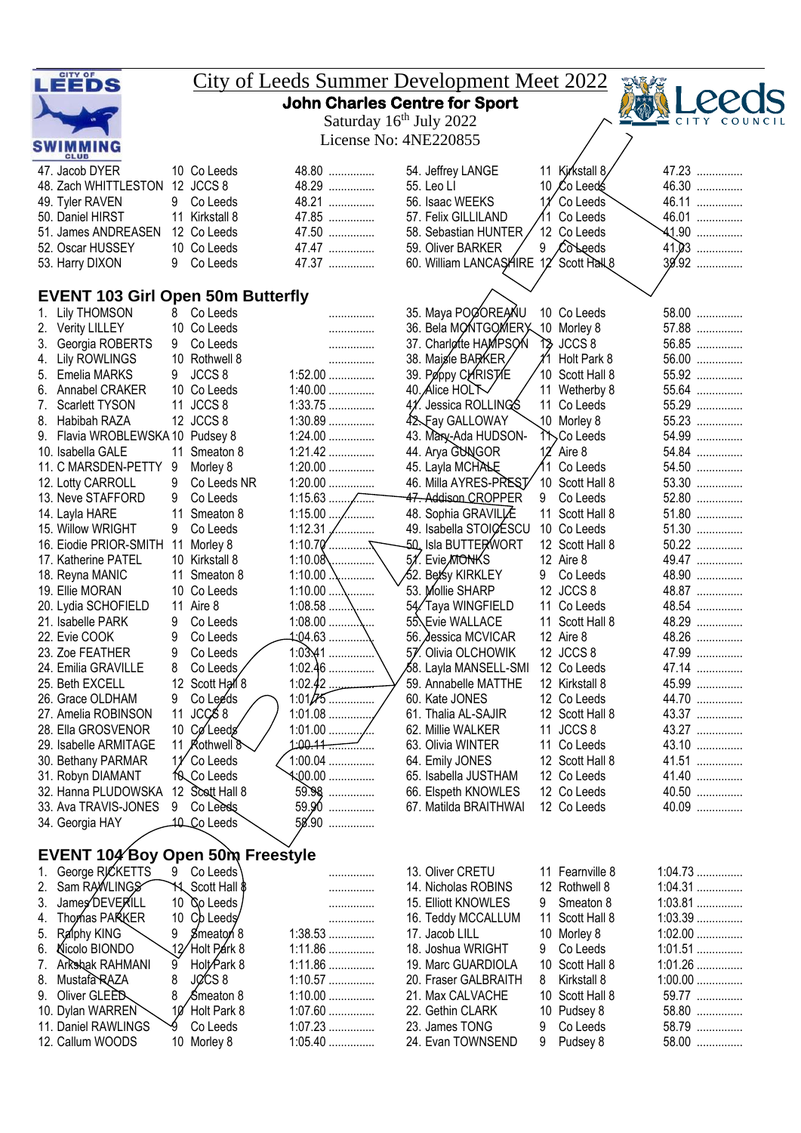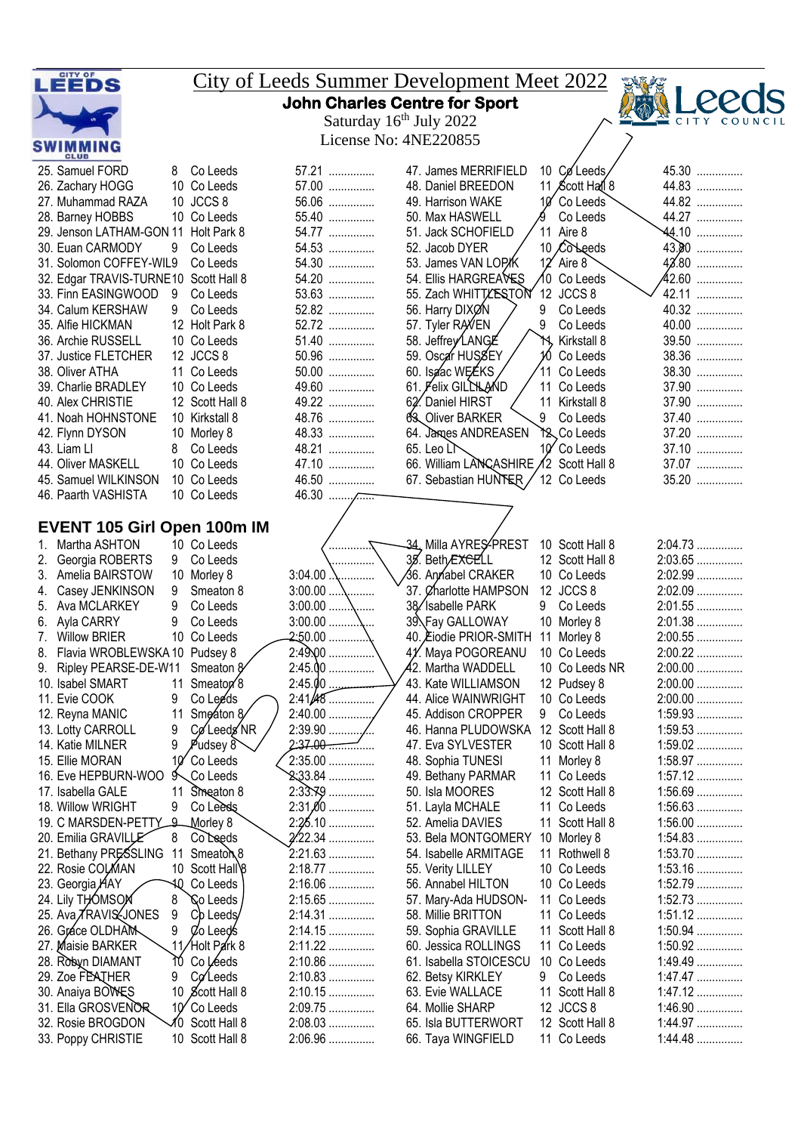| LEEDS                                                |                            |                                     | <b>City of Leeds Summer Development Meet 2022</b> |                              |                        |
|------------------------------------------------------|----------------------------|-------------------------------------|---------------------------------------------------|------------------------------|------------------------|
|                                                      |                            |                                     | <b>John Charles Centre for Sport</b>              |                              |                        |
|                                                      |                            | Saturday 16 <sup>th</sup> July 2022 |                                                   |                              |                        |
|                                                      |                            | License No: 4NE220855               |                                                   |                              |                        |
| <b>SWIMMING</b><br><b>CLUB</b>                       |                            |                                     |                                                   |                              |                        |
| 25. Samuel FORD<br>8                                 | Co Leeds                   | 57.21                               | 47. James MERRIFIELD                              | 10 Coleeds                   | 45.30                  |
| 26. Zachary HOGG                                     | 10 Co Leeds                | 57.00                               | 48. Daniel BREEDON                                | 11 Scott Hall 8              | 44.83                  |
| 27. Muhammad RAZA                                    | 10 JCCS 8                  | 56.06                               | 49. Harrison WAKE                                 | 10 Co Leeds                  | 44.82                  |
| 28. Barney HOBBS                                     | 10 Co Leeds                | 55.40                               | 50. Max HASWELL                                   | Co Leeds                     | 44.27                  |
| 29. Jenson LATHAM-GON 11                             | Holt Park 8                | 54.77                               | 51. Jack SCHOFIELD                                | 11 Aire 8                    | 44.10                  |
| 30. Euan CARMODY<br>9                                | Co Leeds                   | 54.53                               | 52. Jacob DYER                                    | 10 Colleeds                  | 43.80                  |
| 31. Solomon COFFEY-WIL9                              | Co Leeds                   | 54.30                               | 53. James VAN LOP/K                               | $12'$ Aire 8                 | $42.80$                |
| 32. Edgar TRAVIS-TURNE10<br>33. Finn EASINGWOOD<br>9 | Scott Hall 8<br>Co Leeds   | 54.20<br>53.63                      | 54. Ellis HARGREAVES<br>55. Zach WHITTLESTON      | 10 Co Leeds<br>12 JCCS 8     | 42.60<br>42.11         |
| 9<br>34. Calum KERSHAW                               | Co Leeds                   | 52.82                               | 56. Harry DIXØN                                   | 9<br>Co Leeds                | 40.32                  |
| 35. Alfie HICKMAN                                    | 12 Holt Park 8             | 52.72                               | 57. Tyler RAVEN                                   | 9<br>Co Leeds                | 40.00                  |
| 36. Archie RUSSELL                                   | 10 Co Leeds                | 51.40                               | 58. Jeffrey LANGE                                 | Kirkstall 8<br>Ή             | 39.50                  |
| 37. Justice FLETCHER                                 | 12 JCCS 8                  | 50.96                               | 59. Oscar HUSSEY                                  | 10<br>Co Leeds               | 38.36                  |
| 38. Oliver ATHA                                      | 11 Co Leeds                | 50.00                               | 60. Isa'ac WEEKS                                  | 11 Co Leeds                  | 38.30                  |
| 39. Charlie BRADLEY                                  | 10 Co Leeds                | 49.60                               | 61. Felix GILLHLAND                               | 11 Co Leeds                  | 37.90                  |
| 40. Alex CHRISTIE                                    | 12 Scott Hall 8            | 49.22                               | 62. Daniel HIRST                                  | 11 Kirkstall 8               | 37.90                  |
| 41. Noah HOHNSTONE                                   | 10 Kirkstall 8             | 48.76                               | 63. Oliver BARKER                                 | 9<br>Co Leeds                | 37.40                  |
| 42. Flynn DYSON                                      | 10 Morley 8                | 48.33                               | 64. James ANDREASEN                               | Y <sub>2</sub> Co Leeds      | 37.20                  |
| 43. Liam Ll<br>8                                     | Co Leeds                   | 48.21                               | 65. Leo LT                                        | 10 Co Leeds                  | 37.10                  |
| 44. Oliver MASKELL                                   | 10 Co Leeds                | 47.10                               | 66. William LANCASHIRE 12 Scott Hall 8            |                              | 37.07                  |
| 45. Samuel WILKINSON                                 | 10 Co Leeds                | 46.50                               | 67. Sebastian HUNTER                              | 12 Co Leeds                  | 35.20                  |
| 46. Paarth VASHISTA                                  | 10 Co Leeds                | $46.30$                             |                                                   |                              |                        |
| <b>EVENT 105 Girl Open 100m IM</b>                   |                            |                                     |                                                   |                              |                        |
| Martha ASHTON<br>1.                                  | 10 Co Leeds                |                                     | 34, Milla AYRES PREST                             | 10 Scott Hall 8              | 2:04.73                |
| Georgia ROBERTS<br>2.<br>9                           | Co Leeds                   |                                     | 35. Beth EXCELL                                   | 12 Scott Hall 8              | 2:03.65                |
| Amelia BAIRSTOW<br>3.                                | 10 Morley 8                | 3:04.00                             | 36. Annabel CRAKER                                | 10 Co Leeds                  | 2:02.99                |
| Casey JENKINSON<br>9                                 | Smeaton 8                  | 3:00.00                             | 37. Charlotte HAMPSON                             | 12 JCCS 8                    | 2:02.09                |
| 9<br>Ava MCLARKEY<br>5.                              | Co Leeds                   | 3:00.00<br>.                        | 38/Isabelle PARK                                  | 9<br>Co Leeds                | 2:01.55                |
| 9<br>Ayla CARRY<br>6.                                | Co Leeds                   | $3:00.00$ .                         | 39. Fay GALLOWAY                                  | 10 Morley 8                  | 2:01.38                |
| <b>Willow BRIER</b>                                  | 10 Co Leeds                | $2:50.00$                           | 40. Eiodie PRIOR-SMITH                            | 11<br>Morley 8               | 2:00.55                |
| Flavia WROBLEWSKA 10 Pudsey 8<br>8.                  |                            | 2:49,00                             | 41. Maya POGOREANU                                | 10 Co Leeds                  | 2:00.22                |
| 9. Ripley PEARSE-DE-W11                              | Smeaton $\frac{8}{3}$      | $2:45.00$                           | 42. Martha WADDELL                                | 10 Co Leeds NR               | 2:00.00                |
| 10. Isabel SMART                                     | 11 Smeator <sup>8</sup>    | $2:45.00$ .                         | 43. Kate WILLIAMSON                               | 12 Pudsey 8                  | 2:00.00                |
| 11. Evie COOK<br>9<br>11                             | Co Leeds<br>Smeaton 8      | $2:41/48$<br>$2:40.00$              | 44. Alice WAINWRIGHT<br>45. Addison CROPPER       | 10 Co Leeds<br>Co Leeds<br>9 | 2:00.00<br>$1:59.93$   |
| 12. Reyna MANIC<br>13. Lotty CARROLL<br>9            | CøLeeds NR                 |                                     | 46. Hanna PLUDOWSKA                               | 12 Scott Hall 8              | $1:59.53$              |
| 9<br>14. Katie MILNER                                | Pudsey 8                   |                                     | 47. Eva SYLVESTER                                 | 10 Scott Hall 8              | $1:59.02$              |
| 15. Ellie MORAN<br>$10^{\circ}$                      | Co Leeds                   | 2:35.00                             | 48. Sophia TUNESI                                 | 11 Morley 8                  | $1:58.97$              |
| 16. Eve HEPBURN-WOO<br>$9\sim$                       | 、Co Leeds                  | $2.33.84$                           | 49. Bethany PARMAR                                | 11 Co Leeds                  | 1:57.12                |
| 11<br>17. Isabella GALE                              | Smeaton 8                  | $2:33.79$                           | 50. Isla MOORES                                   | 12 Scott Hall 8              | $1:56.69$              |
| 18. Willow WRIGHT<br>9                               | Co Leeds                   | $2:31,00$                           | 51. Layla MCHALE                                  | 11 Co Leeds                  | $1:56.63$              |
| 19. C MARSDEN-PETTY<br>ݠ                             | Morley 8                   | 2:25.10                             | 52. Amelia DAVIES                                 | 11 Scott Hall 8              | $1:56.00$              |
| 20. Emilia GRAVILLE<br>8                             | Co Leeds                   | 2.22.34                             | 53. Bela MONTGOMERY                               | 10 Morley 8                  | $1:54.83$              |
| 21. Bethany PRESSLING<br>11                          | Smeator <sub>8</sub>       | $2:21.63$                           | 54. Isabelle ARMITAGE                             | 11 Rothwell 8                | 1:53.70                |
| 22. Rosie COLMAN                                     | 10 Scott Hall <sup>8</sup> | 2:18.77                             | 55. Verity LILLEY                                 | 10 Co Leeds                  | $1:53.16$              |
| 23. Georgia HAY<br>-40                               | Co Leeds                   | 2:16.06                             | 56. Annabel HILTON                                | 10 Co Leeds                  | $1:52.79$              |
| 24. Lily THOMSON<br>8<br>25. Ava TRAVIS JONES<br>9   | Co Leeds<br>Co Leeds/      | 2:15.65<br>2:14.31                  | 57. Mary-Ada HUDSON-<br>58. Millie BRITTON        | 11 Co Leeds<br>11 Co Leeds   | $1:52.73$<br>$1:51.12$ |
| 26. Grace OLDHAM<br>9                                | Co Leeds                   | 2:14.15                             | 59. Sophia GRAVILLE                               | 11 Scott Hall 8              | $1:50.94$              |
| 27. Maisie BARKER                                    | 11/Holt Park 8             | 2:11.22                             | 60. Jessica ROLLINGS                              | 11 Co Leeds                  | 1:50.92                |
| ìΰ.<br>28. Robyn DIAMANT                             | Co Léeds                   | 2:10.86                             | 61. Isabella STOICESCU                            | 10 Co Leeds                  | 1:49.49                |
| 29. Zoe FEATHER<br>9                                 | $C\alpha$ Leeds            | 2:10.83                             | 62. Betsy KIRKLEY                                 | Co Leeds<br>9.               | 1:47.47                |
| 30. Anaiya BOWES                                     | 10 Scott Hall 8            | 2:10.15                             | 63. Evie WALLACE                                  | 11 Scott Hall 8              | $1:47.12$              |
| 31. Ella GROSVENOR                                   | 10' Co Leeds               | 2:09.75                             | 64. Mollie SHARP                                  | 12 JCCS 8                    | $1:46.90$              |
| 32. Rosie BROGDON<br>√0                              | Scott Hall 8               | 2:08.03                             | 65. Isla BUTTERWORT                               | 12 Scott Hall 8              | 1:44.97                |
| 33. Poppy CHRISTIE                                   | 10 Scott Hall 8            | 2:06.96                             | 66. Taya WINGFIELD                                | 11 Co Leeds                  | $1:44.48$              |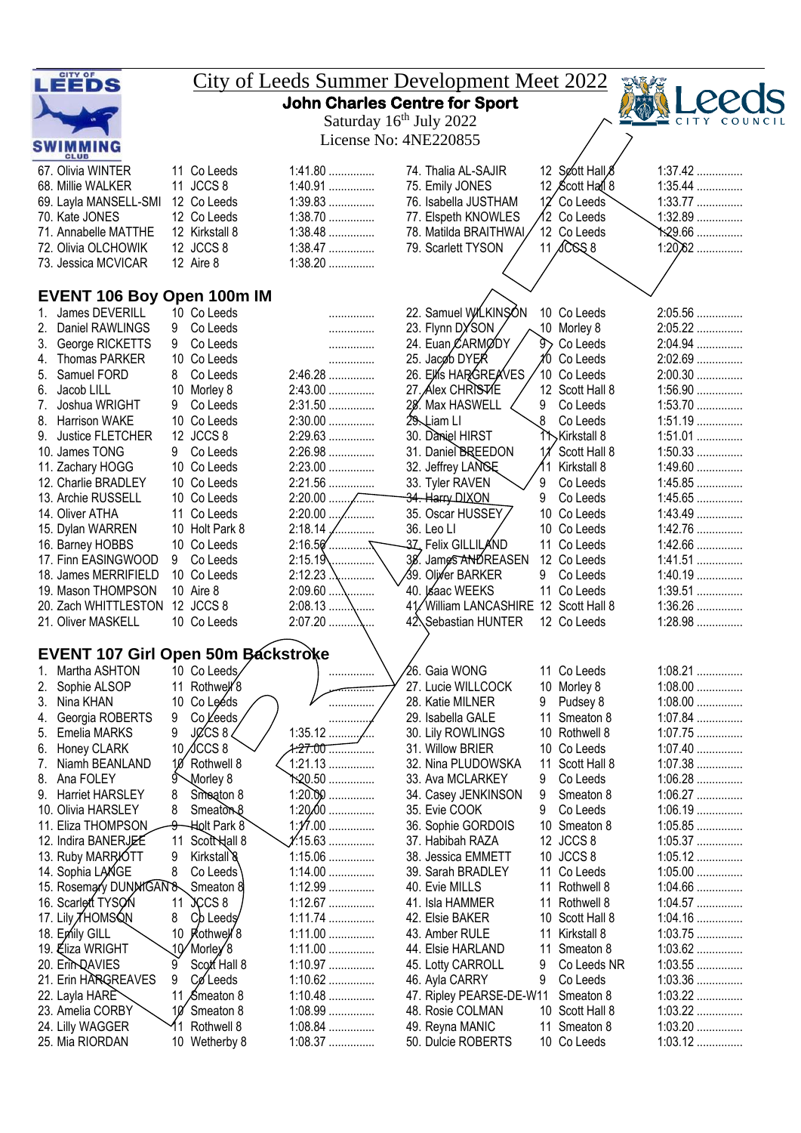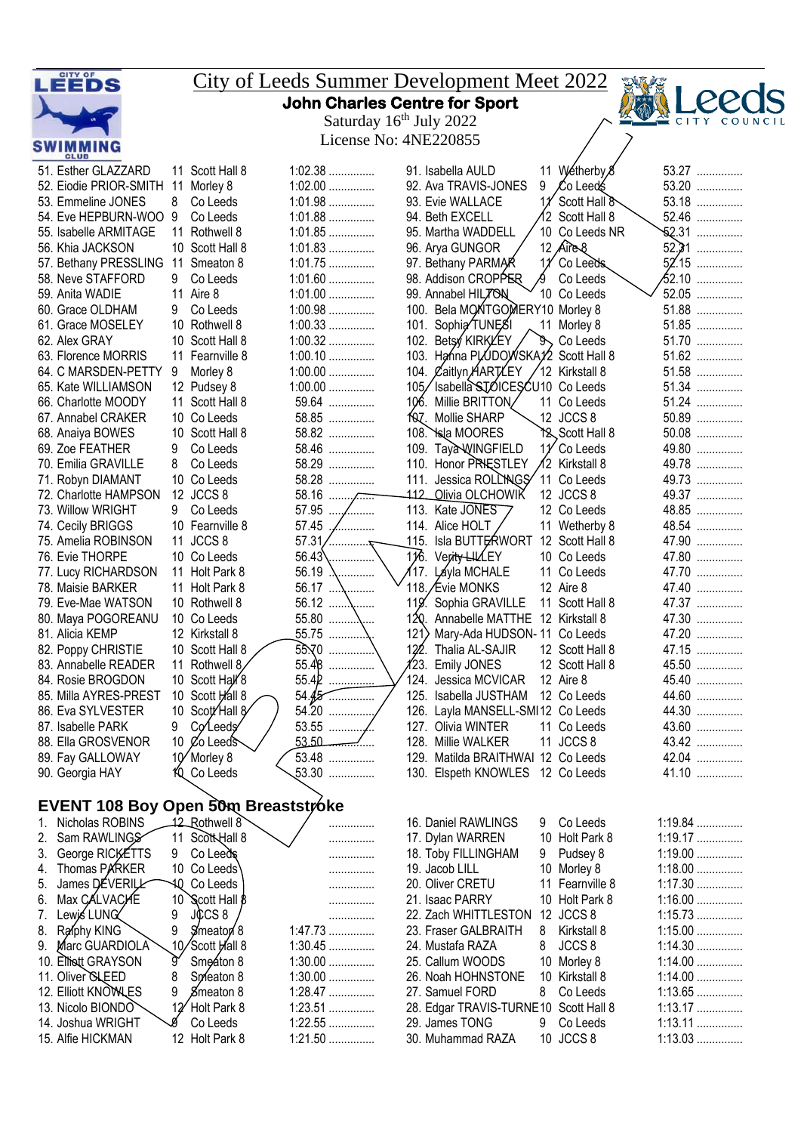| LEEDS                                                   |                                  |                        | <b>City of Leeds Summer Development Meet 2022</b>                        |                        |  |  |  |  |  |  |  |
|---------------------------------------------------------|----------------------------------|------------------------|--------------------------------------------------------------------------|------------------------|--|--|--|--|--|--|--|
|                                                         |                                  |                        | <b>John Charles Centre for Sport</b>                                     |                        |  |  |  |  |  |  |  |
|                                                         |                                  |                        | Saturday 16 <sup>th</sup> July 2022                                      | COUN                   |  |  |  |  |  |  |  |
|                                                         |                                  |                        |                                                                          |                        |  |  |  |  |  |  |  |
| License No: 4NE220855<br><b>SWIMMING</b><br><b>CLUB</b> |                                  |                        |                                                                          |                        |  |  |  |  |  |  |  |
| 51. Esther GLAZZARD                                     | 11 Scott Hall 8                  | $1:02.38$              | 11 Wetherby 8<br>91. Isabella AULD                                       | 53.27                  |  |  |  |  |  |  |  |
| 52. Eiodie PRIOR-SMITH 11 Morley 8                      |                                  | $1:02.00$              | 92. Ava TRAVIS-JONES<br>9<br>∕Co Leed≴                                   | 53.20                  |  |  |  |  |  |  |  |
| 53. Emmeline JONES                                      | Co Leeds<br>8                    | $1:01.98$              | Scott Hall &<br>93. Evie WALLACE                                         | 53.18                  |  |  |  |  |  |  |  |
| 54. Eve HEPBURN-WOO 9                                   | Co Leeds                         | $1:01.88$              | 12 Scott Hall 8<br>94. Beth EXCELL                                       | 52.46                  |  |  |  |  |  |  |  |
| 55. Isabelle ARMITAGE                                   | 11 Rothwell 8<br>10 Scott Hall 8 | $1:01.85$              | 10 Co Leeds NR<br>95. Martha WADDELL                                     | <b>52.31</b>           |  |  |  |  |  |  |  |
| 56. Khia JACKSON<br>57. Bethany PRESSLING 11 Smeaton 8  |                                  | $1:01.83$<br>$1:01.75$ | 12 $Aire8$<br>96. Arya GUNGOR<br>97. Bethany PARMAR<br>11<br>Co Leeds    | 52.31<br>$52.15$       |  |  |  |  |  |  |  |
| 58. Neve STAFFORD                                       | 9<br>Co Leeds                    | $1:01.60$              | 98. Addison CROPPER<br>Co Leeds                                          |                        |  |  |  |  |  |  |  |
| 59. Anita WADIE                                         | 11 Aire 8                        | $1:01.00$              | 99. Annabel HIL7ON<br>10 Co Leeds                                        | 52.05                  |  |  |  |  |  |  |  |
| 60. Grace OLDHAM                                        | Co Leeds<br>9                    | $1:00.98$              | 100. Bela MONTGOMERY10 Morley 8                                          | 51.88                  |  |  |  |  |  |  |  |
| 61. Grace MOSELEY                                       | 10 Rothwell 8                    | $1:00.33$              | 101. Sophia TUNESI<br>11 Morley 8                                        | 51.85                  |  |  |  |  |  |  |  |
| 62. Alex GRAY                                           | 10 Scott Hall 8                  | $1:00.32$              | 102. Betsy KIRKYEY<br>g,<br>Co Leeds                                     | 51.70                  |  |  |  |  |  |  |  |
| 63. Florence MORRIS                                     | 11 Fearnville 8                  | $1:00.10$              | 103. Hanna PLUDOWSKAY2 Scott Hall 8                                      | 51.62                  |  |  |  |  |  |  |  |
| 64. C MARSDEN-PETTY                                     | 9<br>Morley 8                    | $1:00.00$              | 104. Caitlyn HARTLEY<br>12 Kirkstall 8                                   | 51.58                  |  |  |  |  |  |  |  |
| 65. Kate WILLIAMSON                                     | 12 Pudsey 8                      | $1:00.00$              | 105/Isabella STOICESCU10 Co Leeds                                        | 51.34                  |  |  |  |  |  |  |  |
| 66. Charlotte MOODY<br>67. Annabel CRAKER               | 11 Scott Hall 8<br>10 Co Leeds   | 59.64<br>58.85         | Millie BRITTON/<br>106.<br>11 Co Leeds<br>foz. Mollie SHARP<br>12 JCCS 8 | 51.24<br>50.89         |  |  |  |  |  |  |  |
| 68. Anaiya BOWES                                        | 10 Scott Hall 8                  | 58.82                  | 108. Isla MOORES<br>T& Scott Hall 8                                      | $50.08$                |  |  |  |  |  |  |  |
| 69. Zoe FEATHER                                         | 9<br>Co Leeds                    | 58.46                  | Taya WINGFIELD<br>109.<br>11 Co Leeds                                    | 49.80                  |  |  |  |  |  |  |  |
| 70. Emilia GRAVILLE                                     | Co Leeds<br>8                    | 58.29                  | 110. Honor PRIESTLEY<br>12 Kirkstall 8                                   | 49.78                  |  |  |  |  |  |  |  |
| 71. Robyn DIAMANT                                       | 10 Co Leeds                      | 58.28                  | 111. Jessica ROLLINGS<br>11 Co Leeds                                     | 49.73                  |  |  |  |  |  |  |  |
| 72. Charlotte HAMPSON                                   | 12 JCCS 8                        | $58.16$                | <u>Olivia OLCHOWIK</u><br>-112.<br>12 JCCS 8                             | 49.37                  |  |  |  |  |  |  |  |
| 73. Willow WRIGHT                                       | Co Leeds<br>9                    | 57.95<br>.             | 113. Kate JONES<br>12 Co Leeds                                           | 48.85                  |  |  |  |  |  |  |  |
| 74. Cecily BRIGGS                                       | 10 Fearnville 8                  | 57.45<br>.             | 114. Alice HOLT<br>11 Wetherby 8                                         | 48.54                  |  |  |  |  |  |  |  |
| 75. Amelia ROBINSON                                     | 11 JCCS 8                        | 57.31<br>. 7           | 115. Isla BUTTERWORT 12 Scott Hall 8                                     | 47.90                  |  |  |  |  |  |  |  |
| 76. Evie THORPE                                         | 10 Co Leeds                      | 56.43                  | 116. Verity-LILLEY<br>10 Co Leeds                                        | 47.80                  |  |  |  |  |  |  |  |
| 77. Lucy RICHARDSON                                     | 11 Holt Park 8                   | 56.19<br>.             | 117.<br>Láyla MCHALE<br>11 Co Leeds<br>118. Evie MONKS                   | 47.70                  |  |  |  |  |  |  |  |
| 78. Maisie BARKER<br>79. Eve-Mae WATSON                 | 11 Holt Park 8<br>10 Rothwell 8  | 56.12                  | 12 Aire 8<br>119. Sophia GRAVILLE<br>11 Scott Hall 8                     | 47.40<br>47.37         |  |  |  |  |  |  |  |
| 80. Maya POGOREANU                                      | 10 Co Leeds                      | .<br>55.80<br>\        | 120.<br>Annabelle MATTHE 12 Kirkstall 8                                  | 47.30                  |  |  |  |  |  |  |  |
| 81. Alicia KEMP                                         | 12 Kirkstall 8                   | 55.75                  | 121<br>Mary-Ada HUDSON-11 Co Leeds                                       | 47.20                  |  |  |  |  |  |  |  |
| 82. Poppy CHRISTIE                                      | 10 Scott Hall 8                  | 55.70                  | 122. Thalia AL-SAJIR<br>12 Scott Hall 8                                  | 47.15                  |  |  |  |  |  |  |  |
| 83. Annabelle READER                                    | 11 Rothwell 8                    | 55.48                  | 123. Emily JONES<br>12 Scott Hall 8                                      | 45.50                  |  |  |  |  |  |  |  |
| 84. Rosie BROGDON                                       | 10 Scott Hall 8                  | 55.42                  | 124. Jessica MCVICAR<br>12 Aire 8                                        | 45.40                  |  |  |  |  |  |  |  |
| 85. Milla AYRES-PREST                                   | 10 Scott Hall 8                  | 54.45                  | 12 Co Leeds<br>125. Isabella JUSTHAM                                     | 44.60                  |  |  |  |  |  |  |  |
| 86. Eva SYLVESTER                                       | 10 Scott Hall 8                  | 54.20                  | 126. Layla MANSELL-SMI12 Co Leeds                                        | 44.30                  |  |  |  |  |  |  |  |
| 87. Isabelle PARK                                       | Colleeds<br>9                    |                        | 11 Co Leeds<br>127. Olivia WINTER                                        | 43.60                  |  |  |  |  |  |  |  |
| 88. Ella GROSVENOR                                      | 10 $\%$ Leeds                    | 53.50                  | 11 JCCS 8<br>128. Millie WALKER                                          | 43.42                  |  |  |  |  |  |  |  |
| 89. Fay GALLOWAY                                        | 10 Morley 8                      | 53.48<br>$53.30$       | 129. Matilda BRAITHWAI 12 Co Leeds                                       | 42.04<br>41.10         |  |  |  |  |  |  |  |
| 90. Georgia HAY                                         | KQ Co Leeds                      |                        | 130. Elspeth KNOWLES 12 Co Leeds                                         |                        |  |  |  |  |  |  |  |
| EVENT 108 Boy Open 50m Breaststroke                     |                                  |                        |                                                                          |                        |  |  |  |  |  |  |  |
| Nicholas ROBINS<br>1.                                   | 12 Rothwell 8                    | .                      | 16. Daniel RAWLINGS<br>9 Co Leeds                                        | $1:19.84$              |  |  |  |  |  |  |  |
| Sam RAWLINGS<br>2.                                      | 11 Scott Hall 8                  | .                      | 10 Holt Park 8<br>17. Dylan WARREN                                       | 1:19.17                |  |  |  |  |  |  |  |
| George RICKETTS<br>3.                                   | 9 Co Leeds                       | .                      | 18. Toby FILLINGHAM<br>Pudsey 8<br>9                                     | $1:19.00$              |  |  |  |  |  |  |  |
| Thomas PARKER<br>4.                                     | 10 Co Leeds\                     | .                      | 19. Jacob LILL<br>10 Morley 8                                            | $1:18.00$              |  |  |  |  |  |  |  |
| James DEVERILL<br>5.                                    | AQ Co Leeds                      | .                      | 20. Oliver CRETU<br>11 Fearnville 8                                      | $1:17.30$              |  |  |  |  |  |  |  |
| Max CALVACHE<br>6.                                      | 10 Scott Hall 8                  | .                      | 10 Holt Park 8<br>21. Isaac PARRY                                        | $1:16.00$              |  |  |  |  |  |  |  |
| Lewis LUNG<br>7.                                        | JCCS 8<br>9                      | .                      | 22. Zach WHITTLESTON 12 JCCS 8                                           | $1:15.73$              |  |  |  |  |  |  |  |
| Raphy KING<br>8.                                        | 9<br>Smeator 8                   | $1:47.73$              | 23. Fraser GALBRAITH<br>8<br>Kirkstall 8                                 | $1:15.00$              |  |  |  |  |  |  |  |
| Marc GUARDIOLA<br>9.                                    | 10/Scott Hall 8<br>g.            | $1:30.45$              | JCCS <sub>8</sub><br>8<br>24. Mustafa RAZA                               | $1:14.30$              |  |  |  |  |  |  |  |
| Elliott GRAYSON<br>10.<br>11. Oliver <b>GLEED</b>       | Smeaton 8<br>8<br>Spreaton 8     | $1:30.00$<br>$1:30.00$ | 25. Callum WOODS<br>10 Morley 8<br>10 Kirkstall 8<br>26. Noah HOHNSTONE  | $1:14.00$<br>$1:14.00$ |  |  |  |  |  |  |  |
| 12. Elliott KNOWLES                                     | Smeaton 8<br>9                   | 1:28.47                | Co Leeds<br>27. Samuel FORD<br>8                                         | $1:13.65$              |  |  |  |  |  |  |  |
| 13. Nicolo BIONDO                                       | 12 Holt Park 8                   | 1:23.51                | 28. Edgar TRAVIS-TURNE10 Scott Hall 8                                    | $1:13.17$              |  |  |  |  |  |  |  |
| 14. Joshua WRIGHT                                       | g<br>Co Leeds                    | $1:22.55$              | 29. James TONG<br>Co Leeds<br>9                                          | $1:13.11$              |  |  |  |  |  |  |  |
| 15. Alfie HICKMAN                                       | 12 Holt Park 8                   | 1:21.50                | 10 JCCS 8<br>30. Muhammad RAZA                                           | 1:13.03                |  |  |  |  |  |  |  |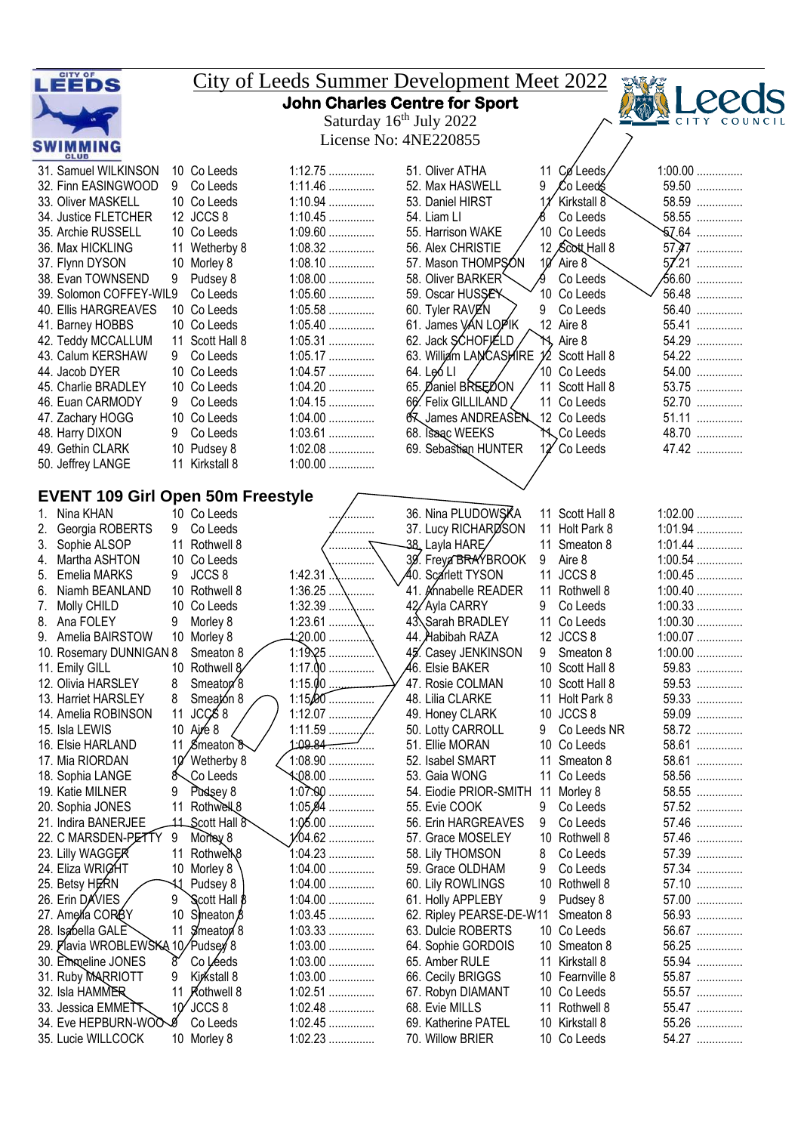|    | LEEDS                                                  |                 |                                       | <u>City of Leeds Summer Development Meet 2022</u> |    |                                           |    |                              |                    |  |
|----|--------------------------------------------------------|-----------------|---------------------------------------|---------------------------------------------------|----|-------------------------------------------|----|------------------------------|--------------------|--|
|    |                                                        |                 |                                       | <b>John Charles Centre for Sport</b>              |    |                                           |    |                              |                    |  |
|    |                                                        |                 |                                       | Saturday 16 <sup>th</sup> July 2022               |    |                                           |    |                              | COUN               |  |
|    | <b>SWIMMING</b>                                        |                 |                                       | License No: 4NE220855                             |    |                                           |    |                              |                    |  |
|    | <b>CLUB</b><br>31. Samuel WILKINSON                    |                 | 10 Co Leeds                           | $1:12.75$                                         |    | 51. Oliver ATHA                           | 11 | CøLeeds                      | $1:00.00$          |  |
|    | 32. Finn EASINGWOOD                                    |                 | 9 Co Leeds                            | $1:11.46$                                         |    | 52. Max HASWELL                           | 9  | Co Leed\$                    | 59.50              |  |
|    | 33. Oliver MASKELL                                     |                 | 10 Co Leeds                           | 1:10.94                                           |    | 53. Daniel HIRST                          |    | Kirkstall 8                  | 58.59              |  |
|    | 34. Justice FLETCHER                                   |                 | 12 JCCS 8                             | $1:10.45$                                         |    | 54. Liam Ll                               |    | Co Leeds                     | 58.55              |  |
|    | 35. Archie RUSSELL                                     |                 | 10 Co Leeds                           | $1:09.60$                                         |    | 55. Harrison WAKE                         |    | 10 Co Leeds                  | $$7.64$            |  |
|    | 36. Max HICKLING                                       |                 | 11 Wetherby 8                         | $1:08.32$                                         |    | 56. Alex CHRISTIE                         |    | 12 Scott Hall 8              | $57.47$            |  |
|    | 37. Flynn DYSON                                        |                 | 10 Morley 8                           | $1:08.10$                                         |    | 57. Mason THOMPSON                        | 10 | Aire 8                       | 57.21              |  |
|    | 38. Evan TOWNSEND                                      | 9               | Pudsey 8                              | $1:08.00$                                         |    | 58. Oliver BARKER                         |    | Co Leeds                     | <del>6</del> 6.60  |  |
|    | 39. Solomon COFFEY-WIL9                                |                 | Co Leeds                              | $1:05.60$                                         |    | 59. Oscar HUSSEY                          |    | 10 Co Leeds                  | 56.48              |  |
|    | 40. Ellis HARGREAVES                                   |                 | 10 Co Leeds                           | $1:05.58$                                         |    | 60. Tyler RAVEN                           | 9  | Co Leeds                     | 56.40              |  |
|    | 41. Barney HOBBS                                       |                 | 10 Co Leeds                           | $1:05.40$                                         |    | 61. James VAN LOPIK                       |    | 12 Aire 8                    | 55.41              |  |
|    | 42. Teddy MCCALLUM                                     |                 | 11 Scott Hall 8                       | $1:05.31$                                         |    | 62. Jack SCHOFJELD                        |    | YS, Aire 8                   | 54.29              |  |
|    | 43. Calum KERSHAW                                      | 9               | Co Leeds                              | 1:05.17                                           |    | 63. William LANCASHIRE                    |    | 12 Scott Hall 8              | 54.22              |  |
|    | 44. Jacob DYER                                         |                 | 10 Co Leeds                           | $1:04.57$                                         |    | 64. Leó LI                                |    | 10 Co Leeds                  | 54.00              |  |
|    | 45. Charlie BRADLEY<br>46. Euan CARMODY                |                 | 10 Co Leeds<br>Co Leeds               | $1:04.20$<br>$1:04.15$                            |    | 65. Daniel BREEDON<br>66. Felix GILLILAND |    | 11 Scott Hall 8              | 53.75<br>52.70     |  |
|    | 47. Zachary HOGG                                       | 9               | 10 Co Leeds                           | $1:04.00$                                         |    | James ANDREASEN 12 Co Leeds               |    | 11 Co Leeds                  | 51.11              |  |
|    | 48. Harry DIXON                                        | 9               | Co Leeds                              | $1:03.61$                                         |    | 68. Isaac WEEKS                           |    | M Co Leeds                   | 48.70              |  |
|    | 49. Gethin CLARK                                       |                 | 10 Pudsey 8                           | $1:02.08$                                         |    | 69. Sebastian HUNTER                      |    | 12 Co Leeds                  | 47.42              |  |
|    | 50. Jeffrey LANGE                                      |                 | 11 Kirkstall 8                        | $1:00.00$                                         |    |                                           |    |                              |                    |  |
|    |                                                        |                 |                                       |                                                   |    |                                           |    |                              |                    |  |
|    | <b>EVENT 109 Girl Open 50m Freestyle</b>               |                 |                                       |                                                   |    |                                           |    |                              |                    |  |
| 1. | Nina KHAN                                              |                 | 10 Co Leeds                           | .                                                 |    | 36. Nina PLUDOWSKA                        |    | 11 Scott Hall 8              | $1:02.00$          |  |
|    | Georgia ROBERTS                                        | 9               | Co Leeds                              | .                                                 |    | 37. Lucy RICHARDSON                       |    | 11 Holt Park 8               | $1:01.94$          |  |
| 3. | Sophie ALSOP                                           | 11              | Rothwell 8                            | .                                                 |    | 38., Layla HARE⁄                          | 11 | Smeaton 8                    | $1:01.44$          |  |
| 4. | Martha ASHTON                                          |                 | 10 Co Leeds                           |                                                   |    | 39. Freya BRAYBROOK                       | 9  | Aire 8                       | $1:00.54$          |  |
| 5. | Emelia MARKS                                           | 9               | JCCS <sub>8</sub>                     | $1:42.31$ $\therefore$                            |    | 40. Scarlett TYSON                        |    | 11 JCCS 8                    | $1:00.45$          |  |
| 6. | Niamh BEANLAND                                         |                 | 10 Rothwell 8                         | 1:36.25                                           |    | 41. Knnabelle READER                      |    | 11 Rothwell 8                | $1:00.40$          |  |
| 7. | Molly CHILD                                            |                 | 10 Co Leeds                           | $1:32.39$ \                                       |    | 42/Ayla CARRY                             | 9  | Co Leeds                     | $1:00.33$          |  |
| 8. | Ana FOLEY                                              | 9               | Morley 8                              | $1:23.61$ $\mathcal{N}$                           |    | 43. Sarah BRADLEY                         |    | 11 Co Leeds                  | $1:00.30$          |  |
|    | Amelia BAIRSTOW                                        |                 | 10 Morley 8                           | 4:20.00                                           | 45 | 44. Habibah RAZA                          |    | 12 JCCS 8                    | $1:00.07$          |  |
|    | 10. Rosemary DUNNIGAN 8                                |                 | Smeaton 8                             | 1:19.25<br>$1:17.00$                              |    | Casey JENKINSON<br>46. Elsie BAKER        | 9  | Smeaton 8<br>10 Scott Hall 8 | $1:00.00$<br>59.83 |  |
|    | 11. Emily GILL<br>12. Olivia HARSLEY                   | 8               | 10 Rothwell 8<br>Smeator <sup>8</sup> | 1:15.00                                           |    | 47. Rosie COLMAN                          |    | 10 Scott Hall 8              | 59.53              |  |
|    | 13. Harriet HARSLEY                                    | 8               | Smeaton 8                             | $1:15,00$                                         |    | 48. Lilia CLARKE                          |    | 11 Holt Park 8               | 59.33              |  |
|    | 14. Amelia ROBINSON                                    | 11              | JCCS 8                                | $1:12.07$                                         |    | 49. Honey CLARK                           |    | 10 JCCS 8                    | 59.09              |  |
|    | 15. Isla LEWIS                                         | 10 <sup>°</sup> | Aire 8                                |                                                   |    | 50. Lotty CARROLL                         | 9  | Co Leeds NR                  | 58.72              |  |
|    | 16. Elsie HARLAND                                      |                 | 11 Smeaton 8                          |                                                   |    | 51. Ellie MORAN                           |    | 10 Co Leeds                  | 58.61              |  |
|    | 17. Mia RIORDAN                                        |                 | 10 Wetherby 8                         | $1:08.90$                                         |    | 52. Isabel SMART                          |    | 11 Smeaton 8                 | 58.61              |  |
|    | 18. Sophia LANGE                                       | 8               | Co Leeds                              |                                                   |    | 53. Gaia WONG                             |    | 11 Co Leeds                  | 58.56              |  |
|    | 19. Katie MILNER                                       | 9               | Pudsey 8                              | $1:07.90$                                         |    | 54. Eiodie PRIOR-SMITH                    | 11 | Morley 8                     | 58.55              |  |
|    | 20. Sophia JONES                                       | 11              | Rothwell <sub>8</sub>                 | $1:05,94$                                         |    | 55. Evie COOK                             | 9  | Co Leeds                     | 57.52              |  |
|    | 21. Indira BANERJEE                                    |                 | 11 Scott Hall 8                       | $1:05.00$                                         |    | 56. Erin HARGREAVES                       | 9  | Co Leeds                     | 57.46              |  |
|    | 22. C MARSDEN-PETTY                                    | 9               | Mortey 8                              | $1/04.62$                                         |    | 57. Grace MOSELEY                         |    | 10 Rothwell 8                | 57.46              |  |
|    | 23. Lilly WAGGER                                       | 11              | Rothwell <sup>8</sup>                 | $1:04.23$                                         |    | 58. Lily THOMSON                          | 8  | Co Leeds                     | 57.39              |  |
|    | 24. Eliza WRIGHT                                       |                 | 10 Morley 8                           | $1:04.00$                                         |    | 59. Grace OLDHAM                          | 9  | Co Leeds                     | 57.34              |  |
|    | 25. Betsy HERN                                         | 11              | Pudsey 8                              | $1:04.00$                                         |    | 60. Lily ROWLINGS                         |    | 10 Rothwell 8                | 57.10              |  |
|    | 26. Erin DAVIES                                        | 9               | Scott Hall $\beta$                    | $1:04.00$                                         |    | 61. Holly APPLEBY                         | 9  | Pudsey 8                     | 57.00              |  |
|    | 27. Amelía CORÓY                                       | 10<br>11        | Smeaton 8                             | $1:03.45$<br>$1:03.33$                            |    | 62. Ripley PEARSE-DE-W11                  |    | Smeaton 8                    | 56.93<br>56.67     |  |
|    | 28. Isabella GALE<br>29. Plavia WROBLEWSKA 10/Pudsey 8 |                 | Simeaton 8                            | $1:03.00$                                         |    | 63. Dulcie ROBERTS                        |    | 10 Co Leeds<br>10 Smeaton 8  | 56.25              |  |
|    | 30. Emmeline JONES                                     | 8               | Co Léeds                              | $1:03.00$                                         |    | 64. Sophie GORDOIS<br>65. Amber RULE      |    | 11 Kirkstall 8               | 55.94              |  |
|    | 31. Ruby MARRIOTT                                      | 9               | Kirkstall 8                           | $1:03.00$                                         |    | 66. Cecily BRIGGS                         |    | 10 Fearnville 8              | 55.87              |  |
|    | 32. Isla HAMMER                                        | 11              | <b>Rothwell 8</b>                     | 1:02.51                                           |    | 67. Robyn DIAMANT                         |    | 10 Co Leeds                  | 55.57              |  |
|    | 33. Jessica EMMETT                                     | 10 <sup>′</sup> | JCCS 8                                | $1:02.48$                                         |    | 68. Evie MILLS                            |    | 11 Rothwell 8                | 55.47              |  |
|    | 34. Eve HEPBURN-WOOS                                   |                 | Co Leeds                              | $1:02.45$                                         |    | 69. Katherine PATEL                       |    | 10 Kirkstall 8               | 55.26              |  |
|    | 35. Lucie WILLCOCK                                     |                 | 10 Morley 8                           | $1:02.23$                                         |    | 70. Willow BRIER                          |    | 10 Co Leeds                  | 54.27              |  |
|    |                                                        |                 |                                       |                                                   |    |                                           |    |                              |                    |  |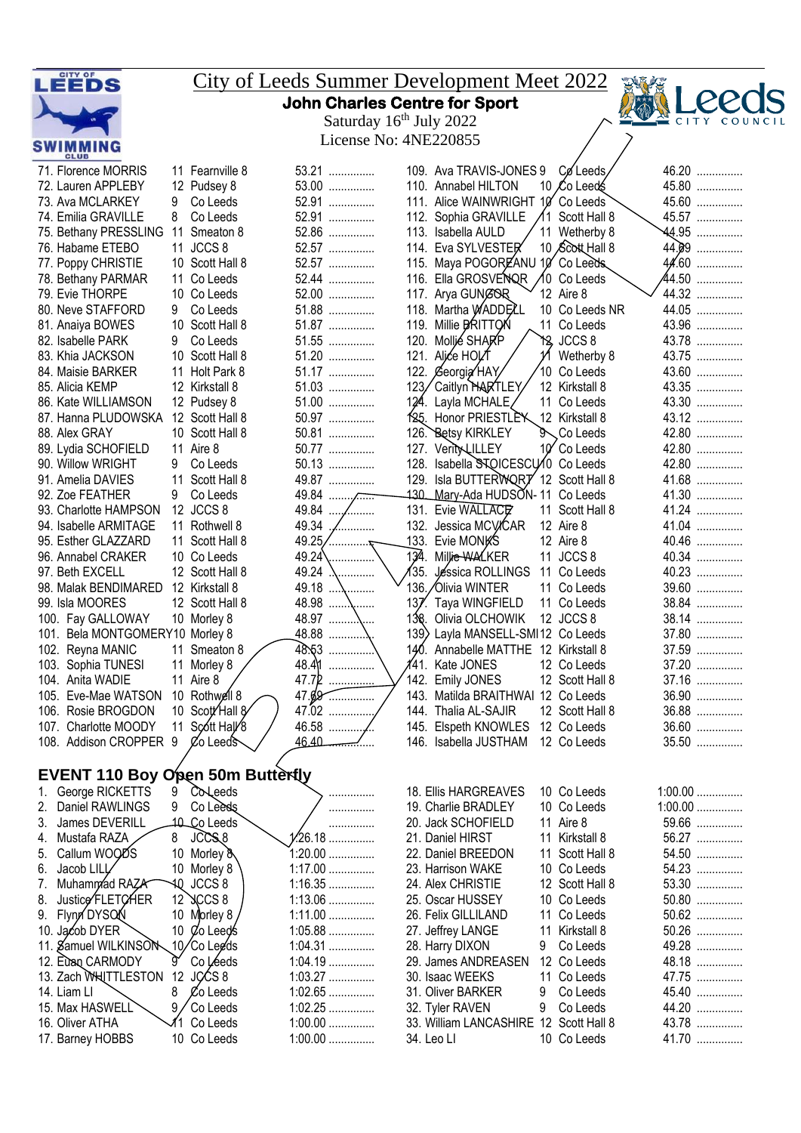| LEEDS                                                     |                                | <u>City of Leeds Summer Development Meet 2022</u> |                                                             |                                  |                |  |  |  |  |  |  |
|-----------------------------------------------------------|--------------------------------|---------------------------------------------------|-------------------------------------------------------------|----------------------------------|----------------|--|--|--|--|--|--|
|                                                           |                                |                                                   | <b>John Charles Centre for Sport</b>                        |                                  |                |  |  |  |  |  |  |
|                                                           |                                |                                                   | Saturday 16 <sup>th</sup> July 2022                         |                                  | <b>CITY</b>    |  |  |  |  |  |  |
| License No: 4NE220855<br><b>SWIMMING</b>                  |                                |                                                   |                                                             |                                  |                |  |  |  |  |  |  |
| 71. Florence MORRIS                                       | 11 Fearnville 8                | 53.21                                             | 109. Ava TRAVIS-JONES 9                                     | Co Leeds,                        | 46.20          |  |  |  |  |  |  |
| 72. Lauren APPLEBY                                        | 12 Pudsey 8                    | 53.00                                             | 110. Annabel HILTON                                         | 10 Co Leeds                      | 45.80          |  |  |  |  |  |  |
| 73. Ava MCLARKEY                                          | Co Leeds<br>9                  | 52.91                                             | 111. Alice WAINWRIGHT 10 Co Leeds                           |                                  | 45.60          |  |  |  |  |  |  |
| 74. Emilia GRAVILLE                                       | Co Leeds<br>8                  | 52.91<br>52.86                                    | 112. Sophia GRAVILLE                                        | 11 Scott Hall 8<br>11 Wetherby 8 | 45.57<br>44.95 |  |  |  |  |  |  |
| 75. Bethany PRESSLING 11 Smeaton 8<br>76. Habame ETEBO    | 11 JCCS 8                      | 52.57                                             | 113. Isabella AULD<br>114. Eva SYLVESTER                    | 10 Scott Hall 8                  | 44.09          |  |  |  |  |  |  |
| 77. Poppy CHRISTIE                                        | 10 Scott Hall 8                | 52.57                                             | 115. Maya POGOREANU 10 Co Leeds                             |                                  | 44.60          |  |  |  |  |  |  |
| 78. Bethany PARMAR                                        | 11 Co Leeds                    | 52.44                                             | 116. Ella GROSVENQR                                         | ∕10 Co Leeds                     | 44.50          |  |  |  |  |  |  |
| 79. Evie THORPE                                           | 10 Co Leeds                    | 52.00                                             | 117. Arya GUNGOR                                            | 12 Aire 8                        | 44.32          |  |  |  |  |  |  |
| 80. Neve STAFFORD                                         | 9<br>Co Leeds                  | 51.88                                             | 118. Martha WADDELL                                         | 10 Co Leeds NR                   | 44.05          |  |  |  |  |  |  |
| 81. Anaiya BOWES                                          | 10 Scott Hall 8                | 51.87                                             | 119. Millie BRITTON                                         | 11 Co Leeds                      | 43.96          |  |  |  |  |  |  |
| 82. Isabelle PARK                                         | Co Leeds<br>9                  | 51.55                                             | 120. Mollié SHARP                                           | ነዷ JCCS 8                        | 43.78          |  |  |  |  |  |  |
| 83. Khia JACKSON                                          | 10 Scott Hall 8                | 51.20                                             | 121.<br>Aljće HOIZT                                         | Wetherby 8                       | 43.75          |  |  |  |  |  |  |
| 84. Maisie BARKER                                         | 11 Holt Park 8                 | 51.17                                             | 122.<br>Georgia HAY                                         | 10 Co Leeds                      | 43.60          |  |  |  |  |  |  |
| 85. Alicia KEMP                                           | 12 Kirkstall 8                 | 51.03                                             | 123,<br>Caitlyn HARTLEY                                     | 12 Kirkstall 8                   | 43.35          |  |  |  |  |  |  |
| 86. Kate WILLIAMSON<br>87. Hanna PLUDOWSKA                | 12 Pudsey 8<br>12 Scott Hall 8 | 51.00<br>50.97                                    | 124. Layla MCHALE<br>125. Honor PRIESTLEY                   | 11 Co Leeds<br>12 Kirkstall 8    | 43.30<br>43.12 |  |  |  |  |  |  |
| 88. Alex GRAY                                             | 10 Scott Hall 8                | 50.81                                             | 126. Betsy KIRKLEY                                          | <b>S</b> Co Leeds                | 42.80          |  |  |  |  |  |  |
| 89. Lydia SCHOFIELD                                       | 11 Aire 8                      | 50.77                                             | 127. Verity LILLEY                                          | 10 Co Leeds                      | 42.80          |  |  |  |  |  |  |
| 90. Willow WRIGHT                                         | 9<br>Co Leeds                  | 50.13                                             | 128. Isabella STOICESCU/0 Co Leeds                          |                                  | 42.80          |  |  |  |  |  |  |
| 91. Amelia DAVIES                                         | 11 Scott Hall 8                | 49.87                                             | 129. Isla BUTTERWORT 12 Scott Hall 8                        |                                  | 41.68          |  |  |  |  |  |  |
| 92. Zoe FEATHER                                           | 9<br>Co Leeds                  | $49.84$                                           | Mary-Ada HUDSON- 11 Co Leeds<br>-130.                       |                                  | 41.30          |  |  |  |  |  |  |
| 93. Charlotte HAMPSON                                     | 12 JCCS 8                      | 49.84  /                                          | 131. Evie WALLACP                                           | 11 Scott Hall 8                  | 41.24          |  |  |  |  |  |  |
| 94. Isabelle ARMITAGE                                     | 11 Rothwell 8                  | 49.34                                             | 132. Jessica MCVICAR                                        | 12 Aire 8                        | 41.04          |  |  |  |  |  |  |
| 95. Esther GLAZZARD                                       | 11 Scott Hall 8                | 49.25                                             | 133. Evie MONKS                                             | 12 Aire 8                        | 40.46          |  |  |  |  |  |  |
| 96. Annabel CRAKER                                        | 10 Co Leeds                    | 49.24                                             | 134.<br>Millie WALKER                                       | 11 JCCS 8                        | 40.34          |  |  |  |  |  |  |
| 97. Beth EXCELL                                           | 12 Scott Hall 8                | 49.24                                             | 135.<br>Jessica ROLLINGS                                    | 11 Co Leeds                      | 40.23          |  |  |  |  |  |  |
| 98. Malak BENDIMARED                                      | 12 Kirkstall 8                 | 49.18<br>.                                        | 136. Olivia WINTER                                          | 11 Co Leeds                      | 39.60          |  |  |  |  |  |  |
| 99. Isla MOORES                                           | 12 Scott Hall 8                | $48.98$<br>.                                      | 137. Taya WINGFIELD                                         | 11 Co Leeds<br>12 JCCS 8         | 38.84<br>38.14 |  |  |  |  |  |  |
| 100. Fay GALLOWAY<br>101. Bela MONTGOMERY10 Morley 8      | 10 Morley 8                    | 48.88                                             | 138. Olivia OLCHOWIK<br>139<br>Layla MANSELL-SMI12 Co Leeds |                                  | 37.80          |  |  |  |  |  |  |
| 102. Reyna MANIC                                          | 11 Smeaton 8                   | .<br>48.53                                        | 140.<br>Annabelle MATTHE 12 Kirkstall 8                     |                                  | 37.59          |  |  |  |  |  |  |
| 103. Sophia TUNESI                                        | 11 Morley 8                    | 48.4M                                             | 141. Kate JONES                                             | 12 Co Leeds                      | 37.20          |  |  |  |  |  |  |
| 104. Anita WADIE                                          | 11 Aire 8                      |                                                   | 142. Emily JONES                                            | 12 Scott Hall 8                  | 37.16          |  |  |  |  |  |  |
| 105. Eve-Mae WATSON                                       | 10 Rothwell 8                  | 47.89                                             | 143. Matilda BRAITHWAI 12 Co Leeds                          |                                  | 36.90          |  |  |  |  |  |  |
| 106. Rosie BROGDON                                        | 10 Scott Hall 8                | 47.02                                             | 144. Thalia AL-SAJIR                                        | 12 Scott Hall 8                  | 36.88          |  |  |  |  |  |  |
| 107. Charlotte MOODY                                      | 11 Scott Hall 8                |                                                   | 145. Elspeth KNOWLES                                        | 12 Co Leeds                      | 36.60          |  |  |  |  |  |  |
| 108. Addison CROPPER 9                                    | $\emptyset$ o Leeds            | 46.40                                             | 146. Isabella JUSTHAM                                       | 12 Co Leeds                      | 35.50          |  |  |  |  |  |  |
|                                                           |                                |                                                   |                                                             |                                  |                |  |  |  |  |  |  |
| EVENT 110 Boy Open 50m Butterfly<br>George RICKETTS<br>1. | Coleeds<br>9                   | .                                                 | 18. Ellis HARGREAVES                                        | 10 Co Leeds                      | $1:00.00$      |  |  |  |  |  |  |
| Daniel RAWLINGS<br>2.                                     | 9<br>Co Leeds                  | .                                                 | 19. Charlie BRADLEY                                         | 10 Co Leeds                      | $1:00.00$      |  |  |  |  |  |  |
| James DEVERILL<br>З.                                      | 10 Co Leeds                    | .                                                 | 20. Jack SCHOFIELD                                          | 11 Aire 8                        | 59.66          |  |  |  |  |  |  |
| Mustafa RAZA<br>4.                                        | 8 JCCS 8                       | $1/26.18$                                         | 21. Daniel HIRST                                            | 11 Kirkstall 8                   | 56.27          |  |  |  |  |  |  |
| Callum WOODS<br>5.                                        | 10 Morley &                    | $1:20.00$                                         | 22. Daniel BREEDON                                          | 11 Scott Hall 8                  | 54.50          |  |  |  |  |  |  |
| Jacob LILL/<br>6.                                         | 10 Morley 8                    | $1:17.00$                                         | 23. Harrison WAKE                                           | 10 Co Leeds                      | 54.23          |  |  |  |  |  |  |
| Muhammad RAZA<br>7.                                       | AQ JCCS 8                      | $1:16.35$                                         | 24. Alex CHRISTIE                                           | 12 Scott Hall 8                  | 53.30          |  |  |  |  |  |  |
| Justice FLETCHER<br>8.                                    | $12$ $\lambda$ CCS 8           | $1:13.06$                                         | 25. Oscar HUSSEY                                            | 10 Co Leeds                      | 50.80          |  |  |  |  |  |  |
| Flynn DYSON<br>9.                                         | 10 Morley 8                    | $1:11.00$                                         | 26. Felix GILLILAND                                         | 11 Co Leeds                      | 50.62          |  |  |  |  |  |  |
| 10. Jącob DYER                                            | 10 Co Leeds                    | $1:05.88$                                         | 27. Jeffrey LANGE                                           | 11 Kirkstall 8                   | 50.26          |  |  |  |  |  |  |
| 11. Samuel WILKINSON                                      | 10/Co Leeds                    | $1:04.31$                                         | 28. Harry DIXON                                             | Co Leeds<br>9.                   | 49.28          |  |  |  |  |  |  |
| 12. Euan CARMODY                                          | Co Léeds<br>g                  | $1:04.19$                                         | 29. James ANDREASEN                                         | 12 Co Leeds                      | 48.18          |  |  |  |  |  |  |
| 13. Zach WHITTLESTON<br>14. Liam Ll                       | 12 JCCS $8$<br>8<br>Co Leeds   | $1:03.27$<br>$1:02.65$                            | 30. Isaac WEEKS<br>31. Oliver BARKER                        | 11 Co Leeds<br>9<br>Co Leeds     | 47.75<br>45.40 |  |  |  |  |  |  |
| 15. Max HASWELL                                           | 9.<br>Co Leeds                 | $1:02.25$                                         | 32. Tyler RAVEN                                             | Co Leeds<br>9                    | 44.20          |  |  |  |  |  |  |
| 16. Oliver ATHA                                           | √1 Co Leeds                    | $1:00.00$                                         | 33. William LANCASHIRE 12 Scott Hall 8                      |                                  | 43.78          |  |  |  |  |  |  |
| 17. Barney HOBBS                                          | 10 Co Leeds                    | $1:00.00$                                         | 34. Leo Ll                                                  | 10 Co Leeds                      | 41.70          |  |  |  |  |  |  |
|                                                           |                                |                                                   |                                                             |                                  |                |  |  |  |  |  |  |